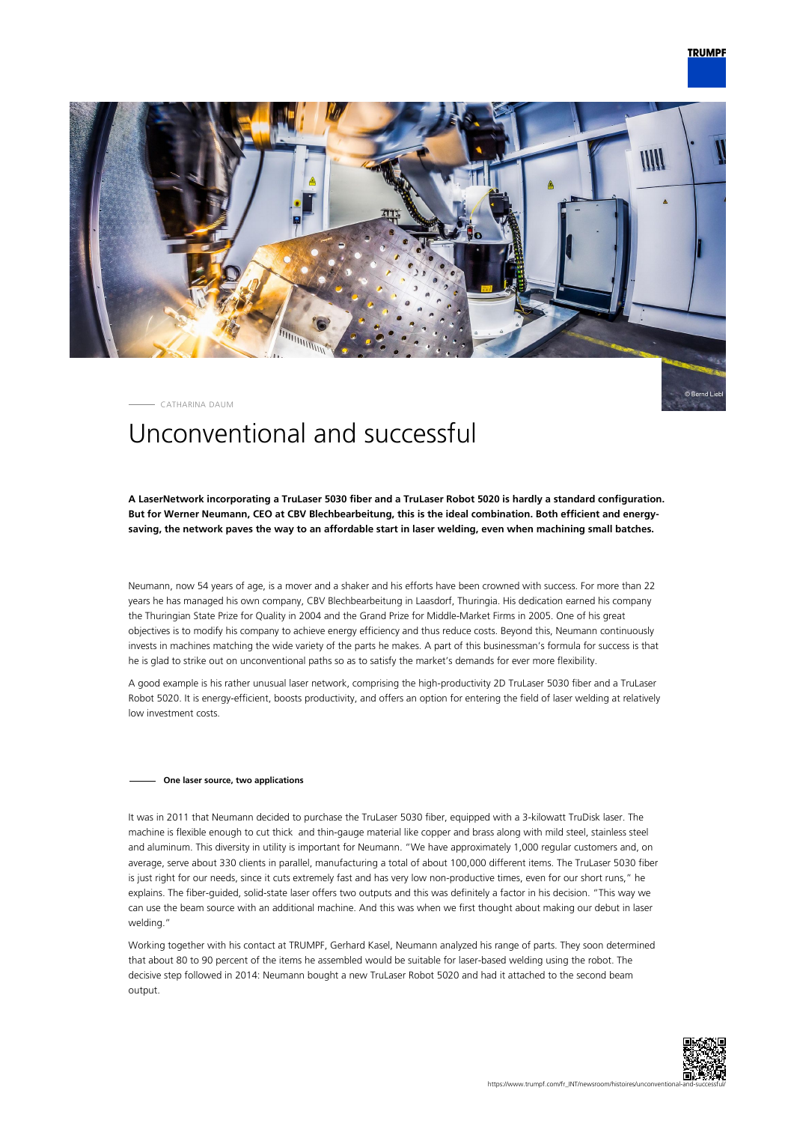

CATHARINA DAUM

# Unconventional and successful

**A LaserNetwork incorporating a TruLaser 5030 fiber and a TruLaser Robot 5020 is hardly a standard configuration. But for Werner Neumann, CEO at CBV Blechbearbeitung, this is the ideal combination. Both efficient and energysaving, the network paves the way to an affordable start in laser welding, even when machining small batches.**

Neumann, now 54 years of age, is a mover and a shaker and his efforts have been crowned with success. For more than 22 years he has managed his own company, CBV Blechbearbeitung in Laasdorf, Thuringia. His dedication earned his company the Thuringian State Prize for Quality in 2004 and the Grand Prize for Middle-Market Firms in 2005. One of his great objectives is to modify his company to achieve energy efficiency and thus reduce costs. Beyond this, Neumann continuously invests in machines matching the wide variety of the parts he makes. A part of this businessman's formula for success is that he is glad to strike out on unconventional paths so as to satisfy the market's demands for ever more flexibility.

A good example is his rather unusual laser network, comprising the high-productivity 2D TruLaser 5030 fiber and a TruLaser Robot 5020. It is energy-efficient, boosts productivity, and offers an option for entering the field of laser welding at relatively low investment costs.

## **One laser source, two applications**

It was in 2011 that Neumann decided to purchase the TruLaser 5030 fiber, equipped with a 3-kilowatt TruDisk laser. The machine is flexible enough to cut thick and thin-gauge material like copper and brass along with mild steel, stainless steel and aluminum. This diversity in utility is important for Neumann. "We have approximately 1,000 regular customers and, on average, serve about 330 clients in parallel, manufacturing a total of about 100,000 different items. The TruLaser 5030 fiber is just right for our needs, since it cuts extremely fast and has very low non-productive times, even for our short runs," he explains. The fiber-guided, solid-state laser offers two outputs and this was definitely a factor in his decision. "This way we can use the beam source with an additional machine. And this was when we first thought about making our debut in laser welding."

Working together with his contact at TRUMPF, Gerhard Kasel, Neumann analyzed his range of parts. They soon determined that about 80 to 90 percent of the items he assembled would be suitable for laser-based welding using the robot. The decisive step followed in 2014: Neumann bought a new TruLaser Robot 5020 and had it attached to the second beam output.

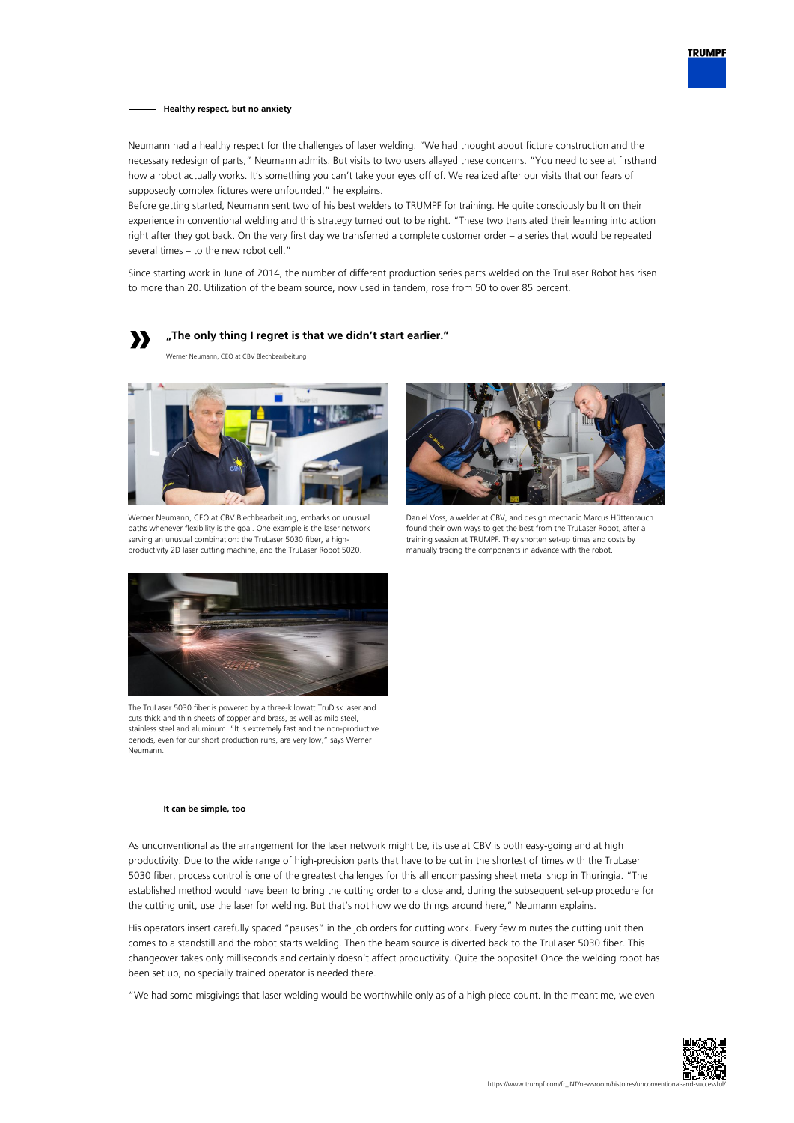

#### **Healthy respect, but no anxiety**

Neumann had a healthy respect for the challenges of laser welding. "We had thought about ficture construction and the necessary redesign of parts," Neumann admits. But visits to two users allayed these concerns. "You need to see at firsthand how a robot actually works. It's something you can't take your eyes off of. We realized after our visits that our fears of supposedly complex fictures were unfounded," he explains.

Before getting started, Neumann sent two of his best welders to TRUMPF for training. He quite consciously built on their experience in conventional welding and this strategy turned out to be right. "These two translated their learning into action right after they got back. On the very first day we transferred a complete customer order – a series that would be repeated several times – to the new robot cell."

Since starting work in June of 2014, the number of different production series parts welded on the TruLaser Robot has risen to more than 20. Utilization of the beam source, now used in tandem, rose from 50 to over 85 percent.



**"The only thing I regret is that we didn't start earlier."**

Werner Neumann, CEO at CBV Blechbearbeitung



Werner Neumann, CEO at CBV Blechbearbeitung, embarks on unusual paths whenever flexibility is the goal. One example is the laser network serving an unusual combination: the TruLaser 5030 fiber, a highproductivity 2D laser cutting machine, and the TruLaser Robot 5020.



Daniel Voss, a welder at CBV, and design mechanic Marcus Hüttenrauch found their own ways to get the best from the TruLaser Robot, after a training session at TRUMPF. They shorten set-up times and costs by manually tracing the components in advance with the robot.



The TruLaser 5030 fiber is powered by a three-kilowatt TruDisk laser and cuts thick and thin sheets of copper and brass, as well as mild steel, stainless steel and aluminum. "It is extremely fast and the non-productive periods, even for our short production runs, are very low," says Werner Neumann.

## **It can be simple, too**

As unconventional as the arrangement for the laser network might be, its use at CBV is both easy-going and at high productivity. Due to the wide range of high-precision parts that have to be cut in the shortest of times with the TruLaser 5030 fiber, process control is one of the greatest challenges for this all encompassing sheet metal shop in Thuringia. "The established method would have been to bring the cutting order to a close and, during the subsequent set-up procedure for the cutting unit, use the laser for welding. But that's not how we do things around here," Neumann explains.

His operators insert carefully spaced "pauses" in the job orders for cutting work. Every few minutes the cutting unit then comes to a standstill and the robot starts welding. Then the beam source is diverted back to the TruLaser 5030 fiber. This changeover takes only milliseconds and certainly doesn't affect productivity. Quite the opposite! Once the welding robot has been set up, no specially trained operator is needed there.

"We had some misgivings that laser welding would be worthwhile only as of a high piece count. In the meantime, we even

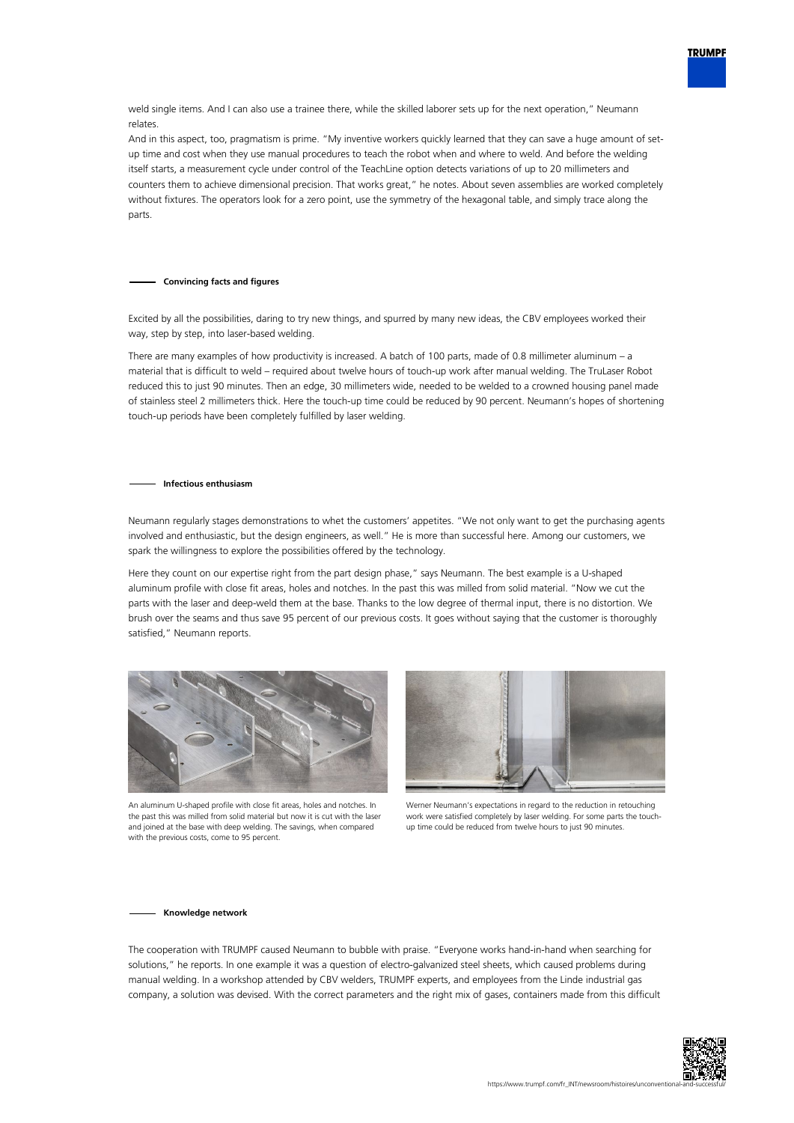weld single items. And I can also use a trainee there, while the skilled laborer sets up for the next operation," Neumann relates.

And in this aspect, too, pragmatism is prime. "My inventive workers quickly learned that they can save a huge amount of setup time and cost when they use manual procedures to teach the robot when and where to weld. And before the welding itself starts, a measurement cycle under control of the TeachLine option detects variations of up to 20 millimeters and counters them to achieve dimensional precision. That works great," he notes. About seven assemblies are worked completely without fixtures. The operators look for a zero point, use the symmetry of the hexagonal table, and simply trace along the parts.

#### **Convincing facts and figures**

Excited by all the possibilities, daring to try new things, and spurred by many new ideas, the CBV employees worked their way, step by step, into laser-based welding.

There are many examples of how productivity is increased. A batch of 100 parts, made of 0.8 millimeter aluminum – a material that is difficult to weld – required about twelve hours of touch-up work after manual welding. The TruLaser Robot reduced this to just 90 minutes. Then an edge, 30 millimeters wide, needed to be welded to a crowned housing panel made of stainless steel 2 millimeters thick. Here the touch-up time could be reduced by 90 percent. Neumann's hopes of shortening touch-up periods have been completely fulfilled by laser welding.

#### **Infectious enthusiasm**

Neumann regularly stages demonstrations to whet the customers' appetites. "We not only want to get the purchasing agents involved and enthusiastic, but the design engineers, as well." He is more than successful here. Among our customers, we spark the willingness to explore the possibilities offered by the technology.

Here they count on our expertise right from the part design phase," says Neumann. The best example is a U-shaped aluminum profile with close fit areas, holes and notches. In the past this was milled from solid material. "Now we cut the parts with the laser and deep-weld them at the base. Thanks to the low degree of thermal input, there is no distortion. We brush over the seams and thus save 95 percent of our previous costs. It goes without saying that the customer is thoroughly satisfied," Neumann reports.



An aluminum U-shaped profile with close fit areas, holes and notches. In the past this was milled from solid material but now it is cut with the laser and joined at the base with deep welding. The savings, when compared with the previous costs, come to 95 percent.



Werner Neumann's expectations in regard to the reduction in retouching work were satisfied completely by laser welding. For some parts the touchup time could be reduced from twelve hours to just 90 minutes.

#### **Knowledge network**

The cooperation with TRUMPF caused Neumann to bubble with praise. "Everyone works hand-in-hand when searching for solutions," he reports. In one example it was a question of electro-galvanized steel sheets, which caused problems during manual welding. In a workshop attended by CBV welders, TRUMPF experts, and employees from the Linde industrial gas company, a solution was devised. With the correct parameters and the right mix of gases, containers made from this difficult